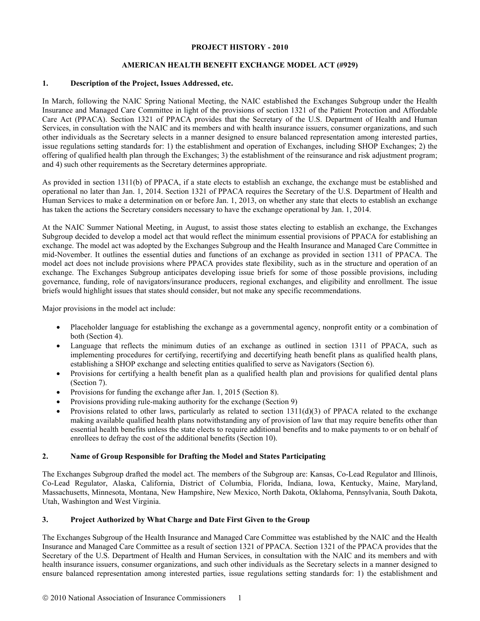#### **PROJECT HISTORY - 2010**

# **AMERICAN HEALTH BENEFIT EXCHANGE MODEL ACT (#929)**

#### **1. Description of the Project, Issues Addressed, etc.**

In March, following the NAIC Spring National Meeting, the NAIC established the Exchanges Subgroup under the Health Insurance and Managed Care Committee in light of the provisions of section 1321 of the Patient Protection and Affordable Care Act (PPACA). Section 1321 of PPACA provides that the Secretary of the U.S. Department of Health and Human Services, in consultation with the NAIC and its members and with health insurance issuers, consumer organizations, and such other individuals as the Secretary selects in a manner designed to ensure balanced representation among interested parties, issue regulations setting standards for: 1) the establishment and operation of Exchanges, including SHOP Exchanges; 2) the offering of qualified health plan through the Exchanges; 3) the establishment of the reinsurance and risk adjustment program; and 4) such other requirements as the Secretary determines appropriate.

As provided in section 1311(b) of PPACA, if a state elects to establish an exchange, the exchange must be established and operational no later than Jan. 1, 2014. Section 1321 of PPACA requires the Secretary of the U.S. Department of Health and Human Services to make a determination on or before Jan. 1, 2013, on whether any state that elects to establish an exchange has taken the actions the Secretary considers necessary to have the exchange operational by Jan. 1, 2014.

At the NAIC Summer National Meeting, in August, to assist those states electing to establish an exchange, the Exchanges Subgroup decided to develop a model act that would reflect the minimum essential provisions of PPACA for establishing an exchange. The model act was adopted by the Exchanges Subgroup and the Health Insurance and Managed Care Committee in mid-November. It outlines the essential duties and functions of an exchange as provided in section 1311 of PPACA. The model act does not include provisions where PPACA provides state flexibility, such as in the structure and operation of an exchange. The Exchanges Subgroup anticipates developing issue briefs for some of those possible provisions, including governance, funding, role of navigators/insurance producers, regional exchanges, and eligibility and enrollment. The issue briefs would highlight issues that states should consider, but not make any specific recommendations.

Major provisions in the model act include:

- Placeholder language for establishing the exchange as a governmental agency, nonprofit entity or a combination of both (Section 4).
- Language that reflects the minimum duties of an exchange as outlined in section 1311 of PPACA, such as implementing procedures for certifying, recertifying and decertifying heath benefit plans as qualified health plans, establishing a SHOP exchange and selecting entities qualified to serve as Navigators (Section 6).
- Provisions for certifying a health benefit plan as a qualified health plan and provisions for qualified dental plans (Section 7).
- Provisions for funding the exchange after Jan. 1, 2015 (Section 8).
- Provisions providing rule-making authority for the exchange (Section 9)
- Provisions related to other laws, particularly as related to section  $1311(d)(3)$  of PPACA related to the exchange making available qualified health plans notwithstanding any of provision of law that may require benefits other than essential health benefits unless the state elects to require additional benefits and to make payments to or on behalf of enrollees to defray the cost of the additional benefits (Section 10).

## **2. Name of Group Responsible for Drafting the Model and States Participating**

The Exchanges Subgroup drafted the model act. The members of the Subgroup are: Kansas, Co-Lead Regulator and Illinois, Co-Lead Regulator, Alaska, California, District of Columbia, Florida, Indiana, Iowa, Kentucky, Maine, Maryland, Massachusetts, Minnesota, Montana, New Hampshire, New Mexico, North Dakota, Oklahoma, Pennsylvania, South Dakota, Utah, Washington and West Virginia.

## **3. Project Authorized by What Charge and Date First Given to the Group**

The Exchanges Subgroup of the Health Insurance and Managed Care Committee was established by the NAIC and the Health Insurance and Managed Care Committee as a result of section 1321 of PPACA. Section 1321 of the PPACA provides that the Secretary of the U.S. Department of Health and Human Services, in consultation with the NAIC and its members and with health insurance issuers, consumer organizations, and such other individuals as the Secretary selects in a manner designed to ensure balanced representation among interested parties, issue regulations setting standards for: 1) the establishment and